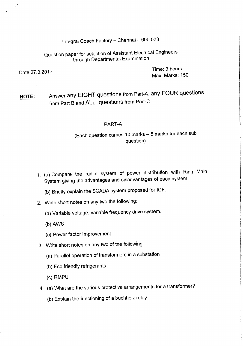Integral Coach Factory - Chennai - 600 038

Question paper for selection of Assistant Electrical Engineers through Departmental Examination

Date:27.3.2017 Time: <sup>3</sup> hours Max. Marks: 150

NOTE: Answer any EIGHT questions from Part-A, any FOUR questions from Part B and ALL questions from Part-C

#### PART-A

### (Each question carries 10 marks - 5 marks for each sub question)

- 1. (a) Compare the radial system of power distribution with Ring Main System giving the advantages and disadvantages of each system.
	- (b) Briefly explain the SCADA system proposed for ICF.
- 2. Write short notes on any two the following:
	- (a) Variable voltage, variable frequency drive system.
	- (b) AWS
	- (c) Power factor Improvement
- 3. Write short notes on any two of the following
	- (a) Parallel operation of transformers in a substation
	- (b) Eco friendly refrigerants
	- (c) RMPU
- 4. (a) What are the various protective arrangements for a transformer?
	- (b) Explain the functioning of a buchholz relay.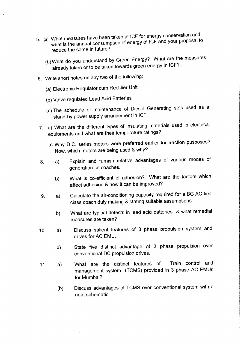- 5. (a) What measures have been taken at ICF for energy conservation and what is the annual consumption of energy of ICF and your proposal to reduce the same in future?
	- (b)What do you understand by Green Energy? What are the measures, already taken or to be taken towards green energy in ICF? .
- 6. Write short notes on any two of the following:
	- (a) Electronic Regulator cum Rectifier Unit
	- (b) Valve regulated Lead Acid Batteries
	- (c) The schedule of maintenance of Diesel Generating sets used as a stand-by power supply arrangement in ICF.
- 7. a) What are the different types of insulating materials used in electrical equipments and what are their temperature ratings?
	- b) Why D.C. series motors were preferred earlier for traction pusposes? Now, which motors are being used & why?
- 8. a) Explain and furnish relative advantages of various modes of generation in coaches.
	- b) What is co-efficient of adhesion? What are the factors which affect adhesion & how it can be improved?
- 9. Calculate the air-conditioning capacity required for a BG AC first class coach duly making & stating suitable assumptions. a)
	- b) What are typical defects in lead acid batteries & what remedial measures are taken?
- 10. a) Discuss salient features of 3 phase propulsion system and drives for AC EMU.
	- b) State five distinct advantage of 3 phase propulsion over conventional DC propulsion drives.
- 11. a) What are the distinct features of Train control and management system (TCMS) provided in 3 phase AC EMUs for Mumbai?
	- (b) Discuss advantages of TCMS over conventional system with a neat schematic.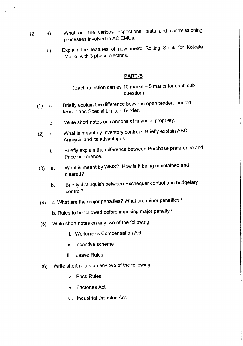- 12. a) What are the various inspections, tests and commissioning processes involved in AC EMUs.
	- b) Explain the features of new metro Rolling Stock for Kolkata Metro with 3 phase electrics.

#### **PART-B**

## (Each question carries 10 marks - 5 marks for each sub question)

- (1) a. Briefly explain the difference between open tender, Limited tender and Special Limited Tender.
	- b. Write short notes on cannons of financial propriety.
- (2) a. What is meant by Inventory control? Briefly explain ABC Analysis and its advantages
	- b. Briefly explain the difference between Purchase preference and Price preference.
- (3) a. What is meant by WMS? How is it being maintained and cleared?
	- b. Briefly distinguish between Exchequer control and budgetary control?
- (4) a. What are the major penalties? What are minor penalties?
	- b. Rules to be followed before imposing major penalty?
- (5) Write short notes on any two of the following:
	- i. Workmen's Compensation Act
	- ii. Incentive scheme
	- iii. Leave Rules
- (6) Write short notes on any two of the following:
	- iv. Pass Rules
	- v. Factories Act
	- vi. Industrial Disputes Act.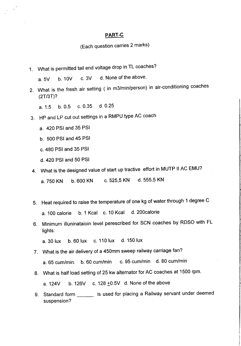#### **PART-C**

## (Each question carries 2 marks)

1. What is permitted tail end voltage drop in TL coaches?

a. 5V b. 10V c. 3V d. None of the above.

2. What is the fresh air setting ( in m3/min/person) in air-conditioning coaches (2T/3T)?

a. 1.5 b. 0.5 c. 0.35 d. 0.25

- 3. HP and LP cut out settings in a RMPU type AC coach
	- a. 420 PSI and 35 PSI
	- b. 500 PSI and 45 PSI
	- c. 480 PSI and 35 PSI
	- d. 420 PSI and 50 PSI
- 4. What is the designed value of start up tractive effort in MUTP II AC EMU?
	- a. 750 KN b. 600 KN c. 525,5 KN d. 555.5 KN
- 5. Heat required to raise the temperature of one kg of water through 1 degree C a. 100 calorie b. 1 Kcal c. 10 Kcal d.200calorie
- 6. Minimum illuninataioin level perescribed for SCN coaches by ROSO with FL lights:

a. 30 lux b. 60 lux c. 110 lux d. 150 lux

- 7. What is the air delivery of a 450mm sweep railway carriage fan?
	- a. 65 cum/min. b. 60 cum/min c. 95 cum/min d. 80 cum/min
- 8. What is half load setting of 25 kw alternator for AC coaches at 1500 rpm.

a.  $124V$  b.  $126V$  c.  $128 + 0.5V$  d. None of the above

9. Standard form \_\_\_\_\_\_ is used for placing a Railway servant under deemed suspension?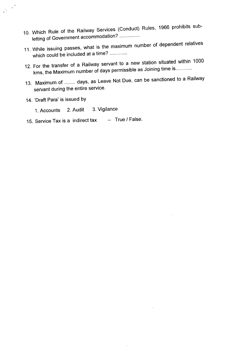- 10. Which Rule of the Railway Services (Conduct) Rules, 1966 prohibits subletting of Government accommodation? ...............
- 11. While issuing passes, what is the maximum number of dependent relatives which could be included at a time? ............
- 12. For the transfer of a Railway servant to a new station situated within 1000 kms, the Maximum number of days permissible as Joining time is .
- 13. Maximum of ........ days, as Leave Not Due, can be sanctioned to a Railway servant during the entire service.
- 14. 'Draft Para' is issued by

- 1. Accounts 2. Audit 3. Vigilance
- 15. Service Tax is a indirect tax -- True *I* False.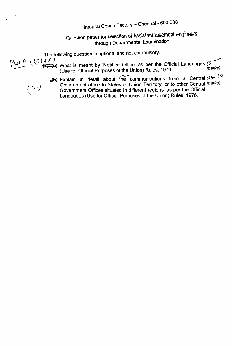# Integral Coach Factory - Chennai - 600 038

Question paper for selection of Assistant Electrical Engineers through Departmental Examination

The following question is optional and not compulsory.<br> $\sqrt{2}$  (b)  $\sqrt{3}$  (vii)<br> $\sqrt{2}$  (xii)  $~^{+2}$   $~^{+}$   $~^{-}$   $~^{-}$  What is meant by 'Notified Office' as per the Official Languages (5 (Use for Official Purposes of the Union) Rules, 1976

<sup>~</sup> Explain in detail about <sup>~</sup> communications from <sup>a</sup> Central (\* *l-O r* 1-) Government office to States or Union Territory, or to other Central *marks*) Government Offices situated in different regions, as per the Official Languages (Use for Official Purposes of the Union) Rules, 1976.